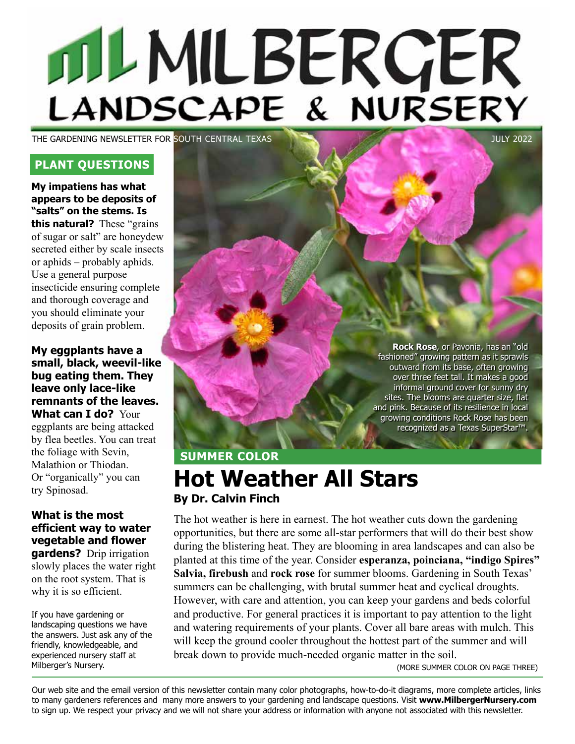# MLMILBERGER

THE GARDENING NEWSLETTER FOR SOUTH CENTRAL TEXAS **THE GARDENING NEWSLET CONTRAL TEXAS** 

### **PLANT QUESTIONS**

**My impatiens has what appears to be deposits of "salts" on the stems. Is this natural?** These "grains of sugar or salt" are honeydew secreted either by scale insects or aphids – probably aphids. Use a general purpose insecticide ensuring complete and thorough coverage and you should eliminate your deposits of grain problem.

**My eggplants have a small, black, weevil-like bug eating them. They leave only lace-like remnants of the leaves. What can I do?** Your

eggplants are being attacked by flea beetles. You can treat the foliage with Sevin, Malathion or Thiodan. Or "organically" you can try Spinosad.

### **What is the most efficient way to water vegetable and flower gardens?** Drip irrigation

slowly places the water right on the root system. That is why it is so efficient.

If you have gardening or landscaping questions we have the answers. Just ask any of the friendly, knowledgeable, and experienced nursery staff at Milberger's Nursery.

**Rock Rose**, or Pavonia, has an "old fashioned" growing pattern as it sprawls outward from its base, often growing over three feet tall. It makes a good informal ground cover for sunny dry sites. The blooms are quarter size, flat and pink. Because of its resilience in local growing conditions Rock Rose has been recognized as a Texas SuperStar™.

## **SUMMER COLOR Hot Weather All Stars By Dr. Calvin Finch**

The hot weather is here in earnest. The hot weather cuts down the gardening opportunities, but there are some all-star performers that will do their best show during the blistering heat. They are blooming in area landscapes and can also be planted at this time of the year. Consider **esperanza, poinciana, "indigo Spires" Salvia, firebush** and **rock rose** for summer blooms. Gardening in South Texas' summers can be challenging, with brutal summer heat and cyclical droughts. However, with care and attention, you can keep your gardens and beds colorful and productive. For general practices it is important to pay attention to the light and watering requirements of your plants. Cover all bare areas with mulch. This will keep the ground cooler throughout the hottest part of the summer and will break down to provide much-needed organic matter in the soil.

(MORE SUMMER COLOR ON PAGE THREE)

Our web site and the email version of this newsletter contain many color photographs, how-to-do-it diagrams, more complete articles, links to many gardeners references and many more answers to your gardening and landscape questions. Visit **www.MilbergerNursery.com** to sign up. We respect your privacy and we will not share your address or information with anyone not associated with this newsletter.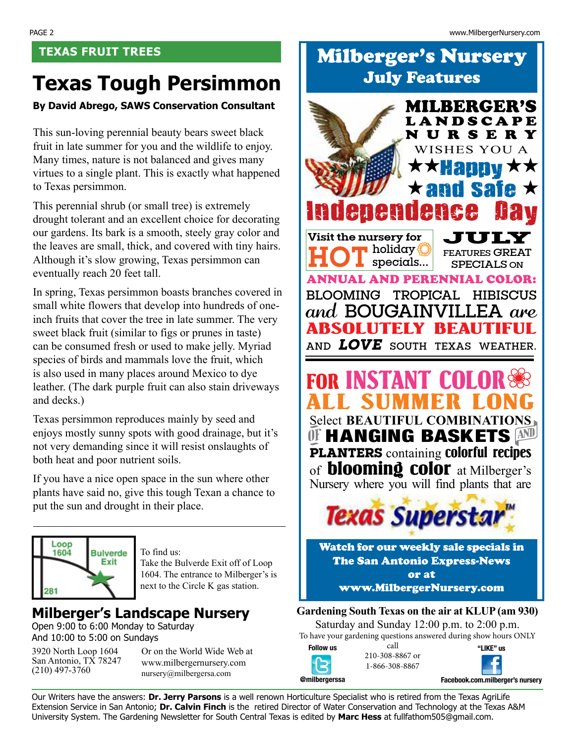# **Texas Tough Persimmon**

### **By David Abrego, SAWS Conservation Consultant**

This sun-loving perennial beauty bears sweet black fruit in late summer for you and the wildlife to enjoy. Many times, nature is not balanced and gives many virtues to a single plant. This is exactly what happened to Texas persimmon.

This perennial shrub (or small tree) is extremely drought tolerant and an excellent choice for decorating our gardens. Its bark is a smooth, steely gray color and the leaves are small, thick, and covered with tiny hairs. Although it's slow growing, Texas persimmon can eventually reach 20 feet tall.

In spring, Texas persimmon boasts branches covered in small white flowers that develop into hundreds of oneinch fruits that cover the tree in late summer. The very sweet black fruit (similar to figs or prunes in taste) can be consumed fresh or used to make jelly. Myriad species of birds and mammals love the fruit, which is also used in many places around Mexico to dye leather. (The dark purple fruit can also stain driveways and decks.)

Texas persimmon reproduces mainly by seed and enjoys mostly sunny spots with good drainage, but it's not very demanding since it will resist onslaughts of both heat and poor nutrient soils.

If you have a nice open space in the sun where other plants have said no, give this tough Texan a chance to put the sun and drought in their place.



To find us: Take the Bulverde Exit off of Loop 1604. The entrance to Milberger's is next to the Circle K gas station.

### **Milberger's Landscape Nursery**

Open 9:00 to 6:00 Monday to Saturday And 10:00 to 5:00 on Sundays

3920 North Loop 1604 San Antonio, TX 78247 (210) 497-3760

Or on the World Wide Web at www.milbergernursery.com nursery@milbergersa.com

# **TEXAS FRUIT TREES Milberger's Nursery** July Features



1-866-308-8867



Our Writers have the answers: **Dr. Jerry Parsons** is a well renown Horticulture Specialist who is retired from the Texas AgriLife Extension Service in San Antonio; **Dr. Calvin Finch** is the retired Director of Water Conservation and Technology at the Texas A&M University System. The Gardening Newsletter for South Central Texas is edited by **Marc Hess** at fullfathom505@gmail.com.

**@milbergerssa**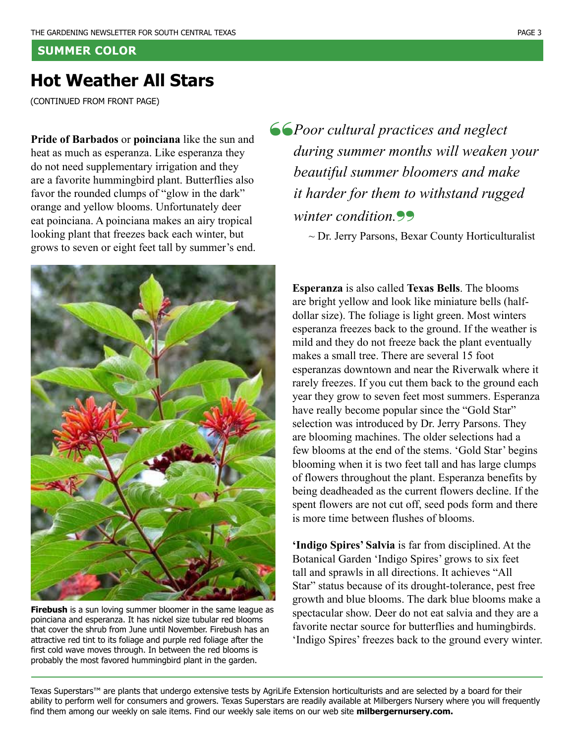### **SUMMER COLOR**

### **Hot Weather All Stars**

(CONTINUED FROM FRONT PAGE)

**Pride of Barbados** or **poinciana** like the sun and heat as much as esperanza. Like esperanza they do not need supplementary irrigation and they are a favorite hummingbird plant. Butterflies also favor the rounded clumps of "glow in the dark" orange and yellow blooms. Unfortunately deer eat poinciana. A poinciana makes an airy tropical looking plant that freezes back each winter, but grows to seven or eight feet tall by summer's end.



**Firebush** is a sun loving summer bloomer in the same league as poinciana and esperanza. It has nickel size tubular red blooms that cover the shrub from June until November. Firebush has an attractive red tint to its foliage and purple red foliage after the first cold wave moves through. In between the red blooms is probably the most favored hummingbird plant in the garden.

"*Poor cultural practices and neglect during summer months will weaken your beautiful summer bloomers and make it harder for them to withstand rugged winter condition.*"<br>
~ Dr. Jerry Parsons, Bexar County Horticulturalist

**Esperanza** is also called **Texas Bells**. The blooms are bright yellow and look like miniature bells (halfdollar size). The foliage is light green. Most winters esperanza freezes back to the ground. If the weather is mild and they do not freeze back the plant eventually makes a small tree. There are several 15 foot esperanzas downtown and near the Riverwalk where it rarely freezes. If you cut them back to the ground each year they grow to seven feet most summers. Esperanza have really become popular since the "Gold Star" selection was introduced by Dr. Jerry Parsons. They are blooming machines. The older selections had a few blooms at the end of the stems. 'Gold Star' begins blooming when it is two feet tall and has large clumps of flowers throughout the plant. Esperanza benefits by being deadheaded as the current flowers decline. If the spent flowers are not cut off, seed pods form and there is more time between flushes of blooms.

**'Indigo Spires' Salvia** is far from disciplined. At the Botanical Garden 'Indigo Spires' grows to six feet tall and sprawls in all directions. It achieves "All Star" status because of its drought-tolerance, pest free growth and blue blooms. The dark blue blooms make a spectacular show. Deer do not eat salvia and they are a favorite nectar source for butterflies and humingbirds. 'Indigo Spires' freezes back to the ground every winter.

Texas Superstars™ are plants that undergo extensive tests by AgriLife Extension horticulturists and are selected by a board for their ability to perform well for consumers and growers. Texas Superstars are readily available at Milbergers Nursery where you will frequently find them among our weekly on sale items. Find our weekly sale items on our web site **milbergernursery.com.**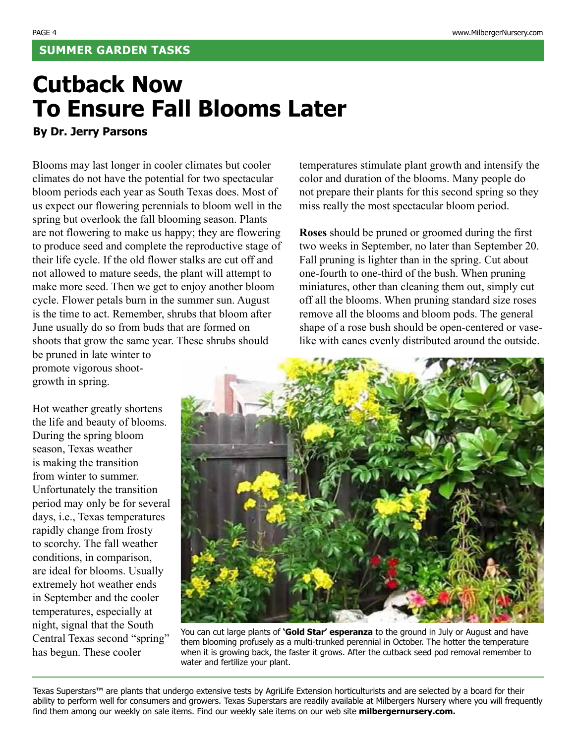# **Cutback Now To Ensure Fall Blooms Later**

**By Dr. Jerry Parsons**

Blooms may last longer in cooler climates but cooler climates do not have the potential for two spectacular bloom periods each year as South Texas does. Most of us expect our flowering perennials to bloom well in the spring but overlook the fall blooming season. Plants are not flowering to make us happy; they are flowering to produce seed and complete the reproductive stage of their life cycle. If the old flower stalks are cut off and not allowed to mature seeds, the plant will attempt to make more seed. Then we get to enjoy another bloom cycle. Flower petals burn in the summer sun. August is the time to act. Remember, shrubs that bloom after June usually do so from buds that are formed on shoots that grow the same year. These shrubs should be pruned in late winter to

promote vigorous shootgrowth in spring.

Hot weather greatly shortens the life and beauty of blooms. During the spring bloom season, Texas weather is making the transition from winter to summer. Unfortunately the transition period may only be for several days, i.e., Texas temperatures rapidly change from frosty to scorchy. The fall weather conditions, in comparison, are ideal for blooms. Usually extremely hot weather ends in September and the cooler temperatures, especially at night, signal that the South Central Texas second "spring" has begun. These cooler

temperatures stimulate plant growth and intensify the color and duration of the blooms. Many people do not prepare their plants for this second spring so they miss really the most spectacular bloom period.

**Roses** should be pruned or groomed during the first two weeks in September, no later than September 20. Fall pruning is lighter than in the spring. Cut about one-fourth to one-third of the bush. When pruning miniatures, other than cleaning them out, simply cut off all the blooms. When pruning standard size roses remove all the blooms and bloom pods. The general shape of a rose bush should be open-centered or vaselike with canes evenly distributed around the outside.



You can cut large plants of **'Gold Star' esperanza** to the ground in July or August and have them blooming profusely as a multi-trunked perennial in October. The hotter the temperature when it is growing back, the faster it grows. After the cutback seed pod removal remember to water and fertilize your plant.

Texas Superstars™ are plants that undergo extensive tests by AgriLife Extension horticulturists and are selected by a board for their ability to perform well for consumers and growers. Texas Superstars are readily available at Milbergers Nursery where you will frequently find them among our weekly on sale items. Find our weekly sale items on our web site **milbergernursery.com.**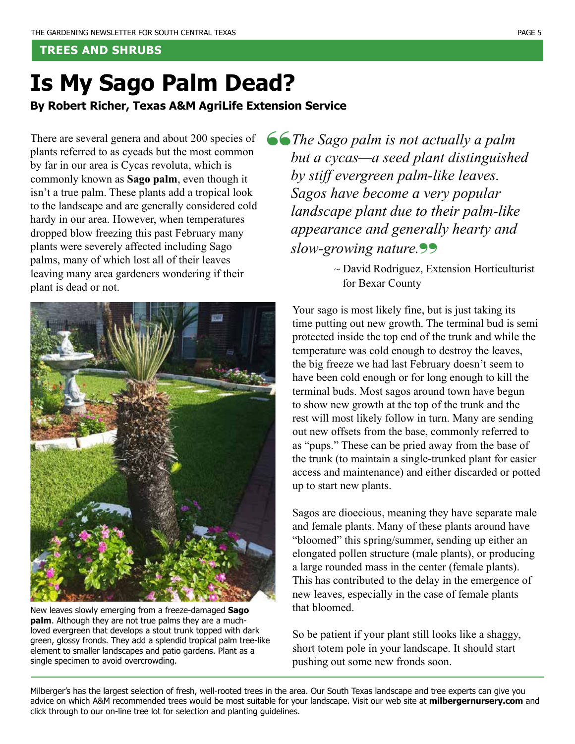### **TREES AND SHRUBS**

# **Is My Sago Palm Dead?**

**By Robert Richer, Texas A&M AgriLife Extension Service**

There are several genera and about 200 species of plants referred to as cycads but the most common by far in our area is Cycas revoluta, which is commonly known as **Sago palm**, even though it isn't a true palm. These plants add a tropical look to the landscape and are generally considered cold hardy in our area. However, when temperatures dropped blow freezing this past February many plants were severely affected including Sago palms, many of which lost all of their leaves leaving many area gardeners wondering if their plant is dead or not.



New leaves slowly emerging from a freeze-damaged **Sago palm**. Although they are not true palms they are a muchloved evergreen that develops a stout trunk topped with dark green, glossy fronds. They add a splendid tropical palm tree-like element to smaller landscapes and patio gardens. Plant as a single specimen to avoid overcrowding.

"*The Sago palm is not actually a palm but a cycas—a seed plant distinguished by stiff evergreen palm-like leaves. Sagos have become a very popular landscape plant due to their palm-like appearance and generally hearty and slow-growing nature.*" ~ David Rodriguez, Extension Horticulturist

for Bexar County

Your sago is most likely fine, but is just taking its time putting out new growth. The terminal bud is semi protected inside the top end of the trunk and while the temperature was cold enough to destroy the leaves, the big freeze we had last February doesn't seem to have been cold enough or for long enough to kill the terminal buds. Most sagos around town have begun to show new growth at the top of the trunk and the rest will most likely follow in turn. Many are sending out new offsets from the base, commonly referred to as "pups." These can be pried away from the base of the trunk (to maintain a single-trunked plant for easier access and maintenance) and either discarded or potted up to start new plants.

Sagos are dioecious, meaning they have separate male and female plants. Many of these plants around have "bloomed" this spring/summer, sending up either an elongated pollen structure (male plants), or producing a large rounded mass in the center (female plants). This has contributed to the delay in the emergence of new leaves, especially in the case of female plants that bloomed.

So be patient if your plant still looks like a shaggy, short totem pole in your landscape. It should start pushing out some new fronds soon.

Milberger's has the largest selection of fresh, well-rooted trees in the area. Our South Texas landscape and tree experts can give you advice on which A&M recommended trees would be most suitable for your landscape. Visit our web site at **milbergernursery.com** and click through to our on-line tree lot for selection and planting guidelines.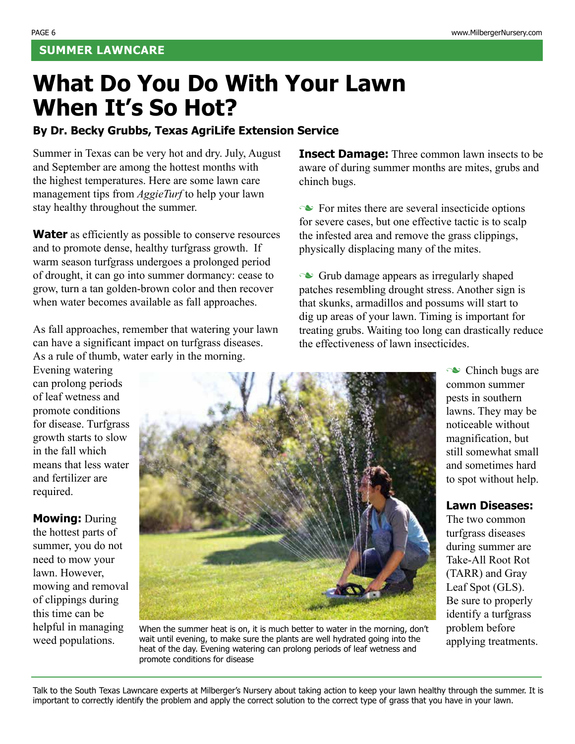# **What Do You Do With Your Lawn When It's So Hot?**

### **By Dr. Becky Grubbs, Texas AgriLife Extension Service**

Summer in Texas can be very hot and dry. July, August and September are among the hottest months with the highest temperatures. Here are some lawn care management tips from *AggieTurf* to help your lawn stay healthy throughout the summer.

**Water** as efficiently as possible to conserve resources and to promote dense, healthy turfgrass growth. If warm season turfgrass undergoes a prolonged period of drought, it can go into summer dormancy: cease to grow, turn a tan golden-brown color and then recover when water becomes available as fall approaches.

As fall approaches, remember that watering your lawn can have a significant impact on turfgrass diseases. As a rule of thumb, water early in the morning.

Evening watering can prolong periods of leaf wetness and promote conditions for disease. Turfgrass growth starts to slow in the fall which means that less water and fertilizer are required.

**Mowing:** During the hottest parts of summer, you do not need to mow your lawn. However, mowing and removal of clippings during this time can be helpful in managing weed populations.



When the summer heat is on, it is much better to water in the morning, don't wait until evening, to make sure the plants are well hydrated going into the heat of the day. Evening watering can prolong periods of leaf wetness and promote conditions for disease

**Insect Damage:** Three common lawn insects to be aware of during summer months are mites, grubs and chinch bugs.

 $\sim$  For mites there are several insecticide options for severe cases, but one effective tactic is to scalp the infested area and remove the grass clippings, physically displacing many of the mites.

 $\sim$  Grub damage appears as irregularly shaped patches resembling drought stress. Another sign is that skunks, armadillos and possums will start to dig up areas of your lawn. Timing is important for treating grubs. Waiting too long can drastically reduce the effectiveness of lawn insecticides.

> $\sim$  Chinch bugs are common summer pests in southern lawns. They may be noticeable without magnification, but still somewhat small and sometimes hard to spot without help.

### **Lawn Diseases:**

The two common turfgrass diseases during summer are Take-All Root Rot (TARR) and Gray Leaf Spot (GLS). Be sure to properly identify a turfgrass problem before applying treatments.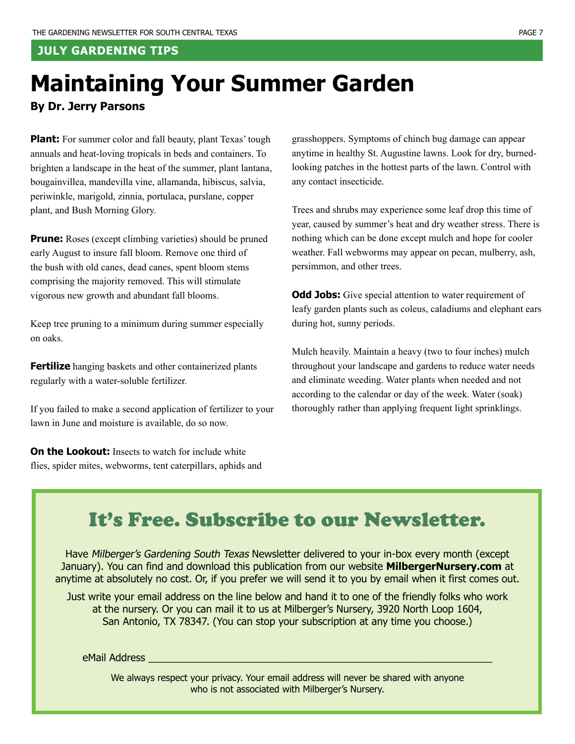### **JULY GARDENING TIPS**

# **Maintaining Your Summer Garden**

### **By Dr. Jerry Parsons**

**Plant:** For summer color and fall beauty, plant Texas' tough annuals and heat-loving tropicals in beds and containers. To brighten a landscape in the heat of the summer, plant lantana, bougainvillea, mandevilla vine, allamanda, hibiscus, salvia, periwinkle, marigold, zinnia, portulaca, purslane, copper plant, and Bush Morning Glory.

**Prune:** Roses (except climbing varieties) should be pruned early August to insure fall bloom. Remove one third of the bush with old canes, dead canes, spent bloom stems comprising the majority removed. This will stimulate vigorous new growth and abundant fall blooms.

Keep tree pruning to a minimum during summer especially on oaks.

**Fertilize** hanging baskets and other containerized plants regularly with a water-soluble fertilizer.

If you failed to make a second application of fertilizer to your lawn in June and moisture is available, do so now.

**On the Lookout:** Insects to watch for include white flies, spider mites, webworms, tent caterpillars, aphids and grasshoppers. Symptoms of chinch bug damage can appear anytime in healthy St. Augustine lawns. Look for dry, burnedlooking patches in the hottest parts of the lawn. Control with any contact insecticide.

Trees and shrubs may experience some leaf drop this time of year, caused by summer's heat and dry weather stress. There is nothing which can be done except mulch and hope for cooler weather. Fall webworms may appear on pecan, mulberry, ash, persimmon, and other trees.

**Odd Jobs:** Give special attention to water requirement of leafy garden plants such as coleus, caladiums and elephant ears during hot, sunny periods.

Mulch heavily. Maintain a heavy (two to four inches) mulch throughout your landscape and gardens to reduce water needs and eliminate weeding. Water plants when needed and not according to the calendar or day of the week. Water (soak) thoroughly rather than applying frequent light sprinklings.

# It's Free. Subscribe to our Newsletter.

Have Milberger's Gardening South Texas Newsletter delivered to your in-box every month (except January). You can find and download this publication from our website **MilbergerNursery.com** at anytime at absolutely no cost. Or, if you prefer we will send it to you by email when it first comes out.

Just write your email address on the line below and hand it to one of the friendly folks who work at the nursery. Or you can mail it to us at Milberger's Nursery, 3920 North Loop 1604, San Antonio, TX 78347. (You can stop your subscription at any time you choose.)

eMail Address \_\_\_\_\_\_\_\_\_\_\_\_\_\_\_\_\_\_\_\_\_\_\_\_\_\_\_\_\_\_\_\_\_\_\_\_\_\_\_\_\_\_\_\_\_\_\_\_\_\_\_\_\_\_\_\_\_\_\_\_\_

We always respect your privacy. Your email address will never be shared with anyone who is not associated with Milberger's Nursery.